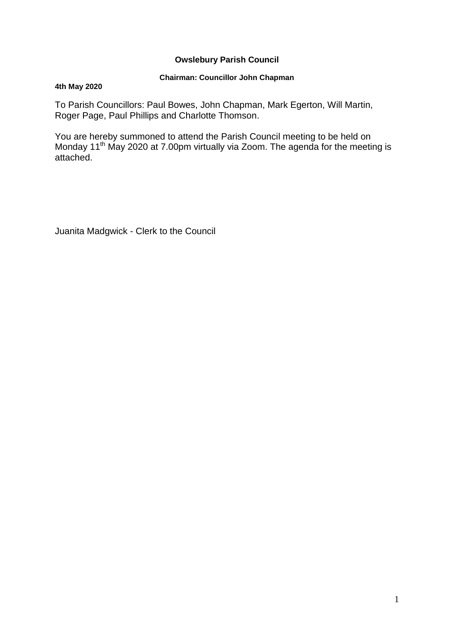## **Owslebury Parish Council**

## **Chairman: Councillor John Chapman**

### **4th May 2020**

To Parish Councillors: Paul Bowes, John Chapman, Mark Egerton, Will Martin, Roger Page, Paul Phillips and Charlotte Thomson.

You are hereby summoned to attend the Parish Council meeting to be held on Monday 11<sup>th</sup> May 2020 at 7.00pm virtually via Zoom. The agenda for the meeting is attached.

Juanita Madgwick - Clerk to the Council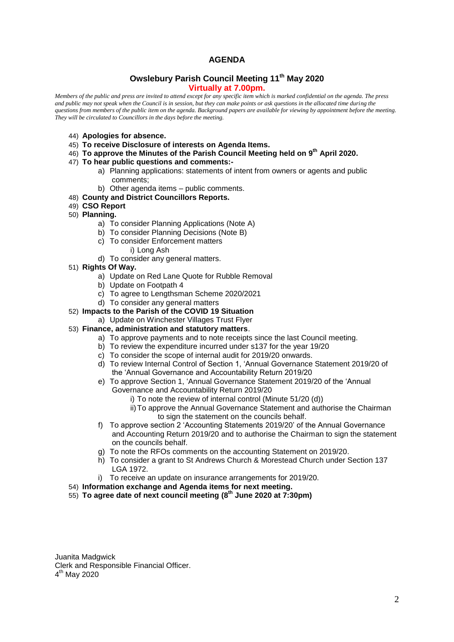## **AGENDA**

### **Owslebury Parish Council Meeting 11th May 2020 Virtually at 7.00pm.**

*Members of the public and press are invited to attend except for any specific item which is marked confidential on the agenda. The press and public may not speak when the Council is in session, but they can make points or ask questions in the allocated time during the questions from members of the public item on the agenda. Background papers are available for viewing by appointment before the meeting. They will be circulated to Councillors in the days before the meeting.* 

- 44) **Apologies for absence.**
- 45) **To receive Disclosure of interests on Agenda Items.**
- 46) **To approve the Minutes of the Parish Council Meeting held on 9 th April 2020.**

#### 47) **To hear public questions and comments:-**

- a) Planning applications: statements of intent from owners or agents and public comments;
- b) Other agenda items public comments.

### 48) **County and District Councillors Reports.**

- 49) **CSO Report**
- 50) **Planning.** 
	- a) To consider Planning Applications (Note A)
	- b) To consider Planning Decisions (Note B)
	- c) To consider Enforcement matters
		- i) Long Ash
	- d) To consider any general matters.
- 51) **Rights Of Way.**
	- a) Update on Red Lane Quote for Rubble Removal
	- b) Update on Footpath 4
	- c) To agree to Lengthsman Scheme 2020/2021
	- d) To consider any general matters
- 52) **Impacts to the Parish of the COVID 19 Situation**
	- a) Update on Winchester Villages Trust Flyer
- 53) **Finance, administration and statutory matters**.
	- a) To approve payments and to note receipts since the last Council meeting.
	- b) To review the expenditure incurred under s137 for the year 19/20
	- c) To consider the scope of internal audit for 2019/20 onwards.
	- d) To review Internal Control of Section 1, 'Annual Governance Statement 2019/20 of the 'Annual Governance and Accountability Return 2019/20
	- e) To approve Section 1, 'Annual Governance Statement 2019/20 of the 'Annual Governance and Accountability Return 2019/20
		- i) To note the review of internal control (Minute 51/20 (d))
		- ii)To approve the Annual Governance Statement and authorise the Chairman to sign the statement on the councils behalf.
	- f) To approve section 2 'Accounting Statements 2019/20' of the Annual Governance and Accounting Return 2019/20 and to authorise the Chairman to sign the statement on the councils behalf.
	- g) To note the RFOs comments on the accounting Statement on 2019/20.
	- h) To consider a grant to St Andrews Church & Morestead Church under Section 137 LGA 1972.
	- i) To receive an update on insurance arrangements for 2019/20.
- 54) **Information exchange and Agenda items for next meeting.**
- 55) **To agree date of next council meeting (8th June 2020 at 7:30pm)**

Juanita Madgwick Clerk and Responsible Financial Officer. 4<sup>th</sup> May 2020